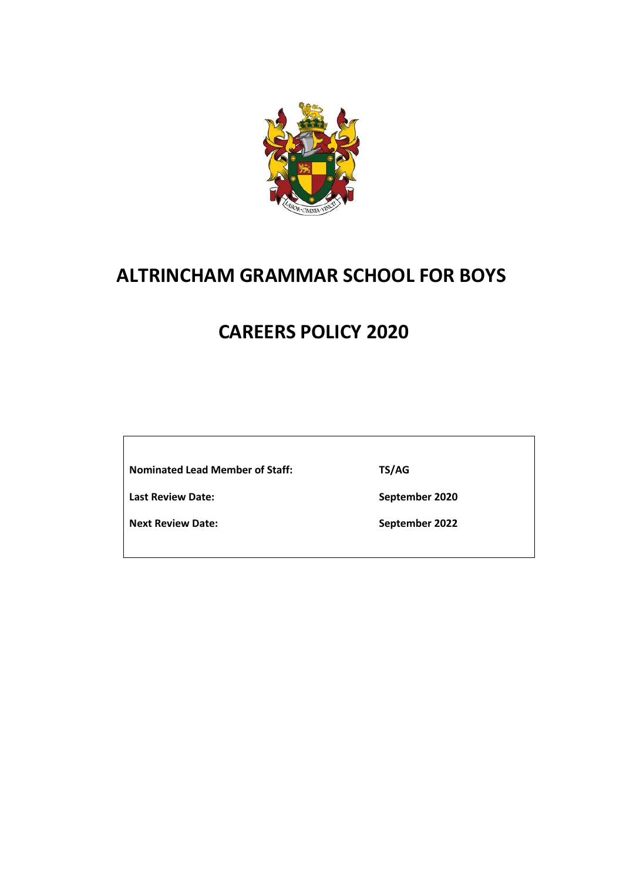

# **ALTRINCHAM GRAMMAR SCHOOL FOR BOYS**

# **CAREERS POLICY 2020**

**Nominated Lead Member of Staff:**

**Last Review Date:**

**Next Review Date:**

**TS/AG**

**September 2020**

**September 2022**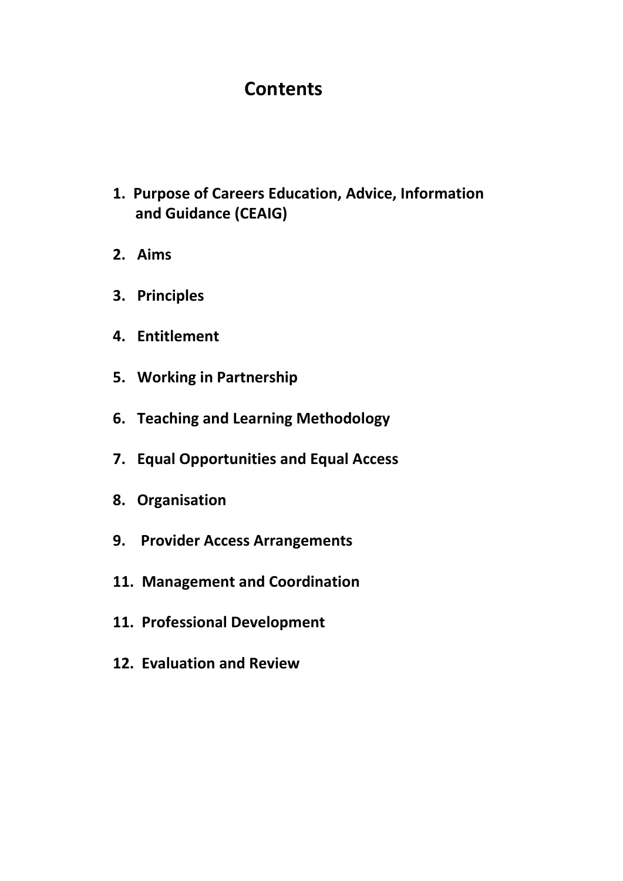# **Contents**

- **1. Purpose of Careers Education, Advice, Information and Guidance (CEAIG)**
- **2. Aims**
- **3. Principles**
- **4. Entitlement**
- **5. Working in Partnership**
- **6. Teaching and Learning Methodology**
- **7. Equal Opportunities and Equal Access**
- **8. Organisation**
- **9. Provider Access Arrangements**
- **11. Management and Coordination**
- **11. Professional Development**
- **12. Evaluation and Review**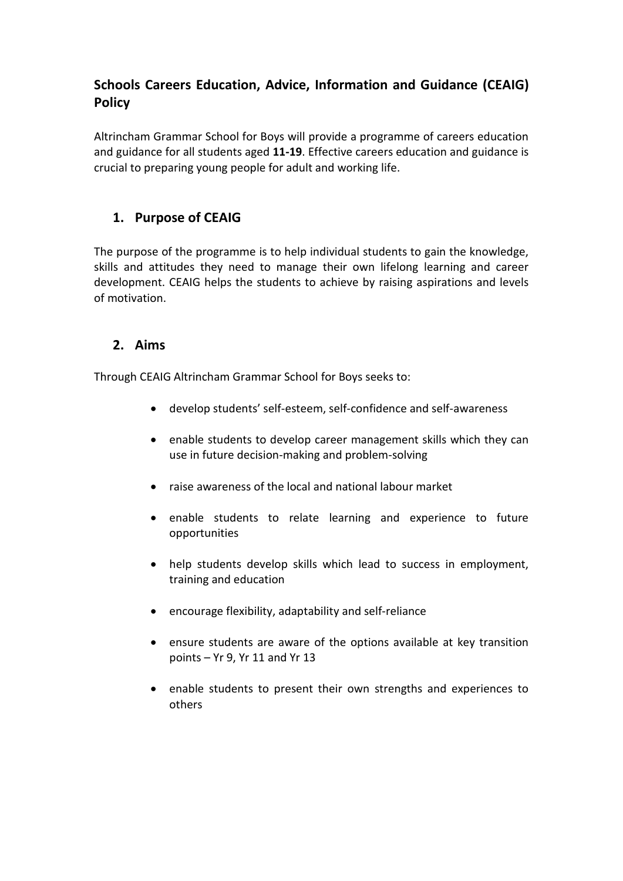## **Schools Careers Education, Advice, Information and Guidance (CEAIG) Policy**

Altrincham Grammar School for Boys will provide a programme of careers education and guidance for all students aged **11-19**. Effective careers education and guidance is crucial to preparing young people for adult and working life.

### **1. Purpose of CEAIG**

The purpose of the programme is to help individual students to gain the knowledge, skills and attitudes they need to manage their own lifelong learning and career development. CEAIG helps the students to achieve by raising aspirations and levels of motivation.

#### **2. Aims**

Through CEAIG Altrincham Grammar School for Boys seeks to:

- develop students' self-esteem, self-confidence and self-awareness
- enable students to develop career management skills which they can use in future decision-making and problem-solving
- raise awareness of the local and national labour market
- enable students to relate learning and experience to future opportunities
- help students develop skills which lead to success in employment, training and education
- encourage flexibility, adaptability and self-reliance
- ensure students are aware of the options available at key transition points – Yr 9, Yr 11 and Yr 13
- enable students to present their own strengths and experiences to others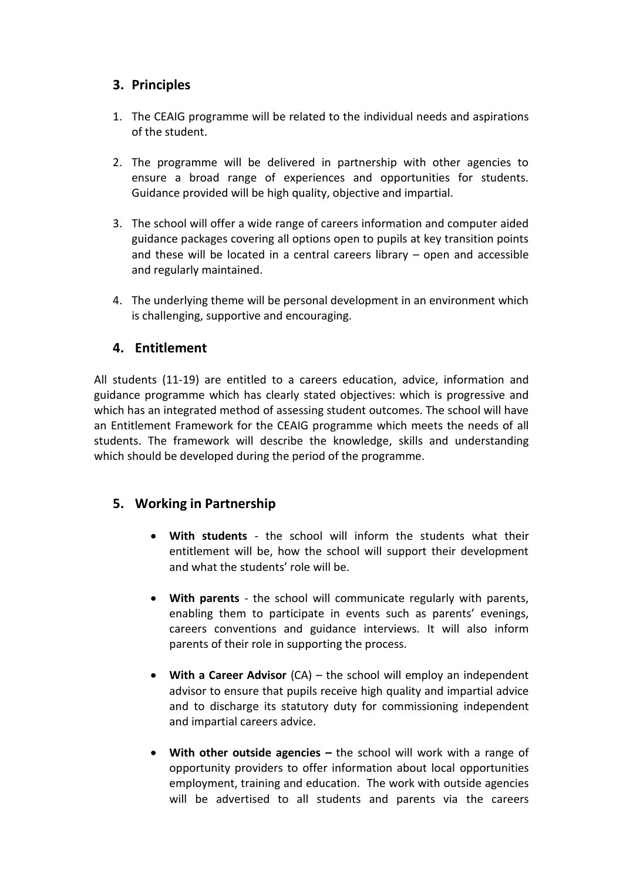#### **3. Principles**

- 1. The CEAIG programme will be related to the individual needs and aspirations of the student.
- 2. The programme will be delivered in partnership with other agencies to ensure a broad range of experiences and opportunities for students. Guidance provided will be high quality, objective and impartial.
- 3. The school will offer a wide range of careers information and computer aided guidance packages covering all options open to pupils at key transition points and these will be located in a central careers library – open and accessible and regularly maintained.
- 4. The underlying theme will be personal development in an environment which is challenging, supportive and encouraging.

#### **4. Entitlement**

All students (11-19) are entitled to a careers education, advice, information and guidance programme which has clearly stated objectives: which is progressive and which has an integrated method of assessing student outcomes. The school will have an Entitlement Framework for the CEAIG programme which meets the needs of all students. The framework will describe the knowledge, skills and understanding which should be developed during the period of the programme.

#### **5. Working in Partnership**

- **With students** the school will inform the students what their entitlement will be, how the school will support their development and what the students' role will be.
- **With parents** the school will communicate regularly with parents, enabling them to participate in events such as parents' evenings, careers conventions and guidance interviews. It will also inform parents of their role in supporting the process.
- **With a Career Advisor** (CA) the school will employ an independent advisor to ensure that pupils receive high quality and impartial advice and to discharge its statutory duty for commissioning independent and impartial careers advice.
- With other outside agencies the school will work with a range of opportunity providers to offer information about local opportunities employment, training and education. The work with outside agencies will be advertised to all students and parents via the careers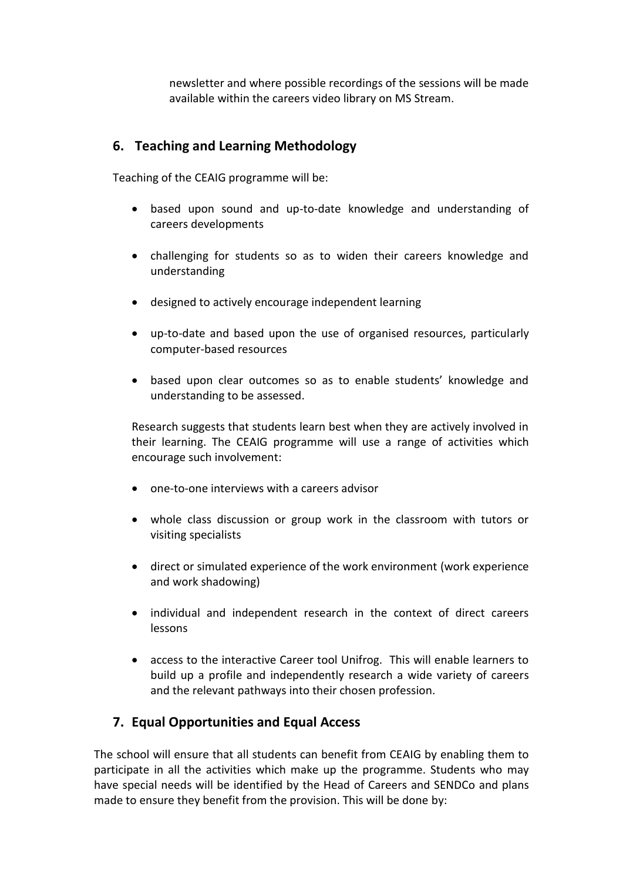newsletter and where possible recordings of the sessions will be made available within the careers video library on MS Stream.

#### **6. Teaching and Learning Methodology**

Teaching of the CEAIG programme will be:

- based upon sound and up-to-date knowledge and understanding of careers developments
- challenging for students so as to widen their careers knowledge and understanding
- designed to actively encourage independent learning
- up-to-date and based upon the use of organised resources, particularly computer-based resources
- based upon clear outcomes so as to enable students' knowledge and understanding to be assessed.

Research suggests that students learn best when they are actively involved in their learning. The CEAIG programme will use a range of activities which encourage such involvement:

- one-to-one interviews with a careers advisor
- whole class discussion or group work in the classroom with tutors or visiting specialists
- direct or simulated experience of the work environment (work experience and work shadowing)
- individual and independent research in the context of direct careers lessons
- access to the interactive Career tool Unifrog. This will enable learners to build up a profile and independently research a wide variety of careers and the relevant pathways into their chosen profession.

### **7. Equal Opportunities and Equal Access**

The school will ensure that all students can benefit from CEAIG by enabling them to participate in all the activities which make up the programme. Students who may have special needs will be identified by the Head of Careers and SENDCo and plans made to ensure they benefit from the provision. This will be done by: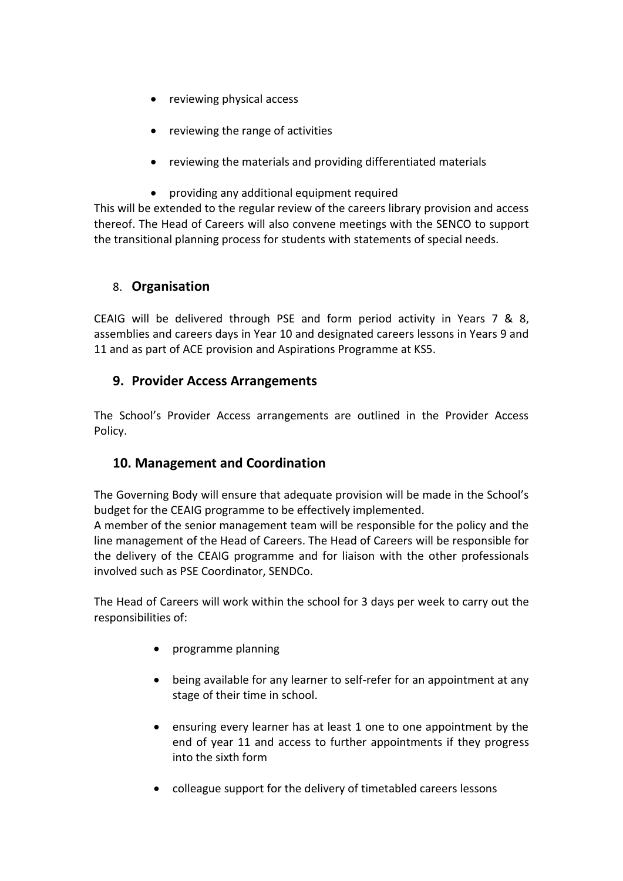- reviewing physical access
- reviewing the range of activities
- reviewing the materials and providing differentiated materials
- providing any additional equipment required

This will be extended to the regular review of the careers library provision and access thereof. The Head of Careers will also convene meetings with the SENCO to support the transitional planning process for students with statements of special needs.

#### 8. **Organisation**

CEAIG will be delivered through PSE and form period activity in Years 7 & 8, assemblies and careers days in Year 10 and designated careers lessons in Years 9 and 11 and as part of ACE provision and Aspirations Programme at KS5.

#### **9. Provider Access Arrangements**

The School's Provider Access arrangements are outlined in the Provider Access Policy.

#### **10. Management and Coordination**

The Governing Body will ensure that adequate provision will be made in the School's budget for the CEAIG programme to be effectively implemented.

A member of the senior management team will be responsible for the policy and the line management of the Head of Careers. The Head of Careers will be responsible for the delivery of the CEAIG programme and for liaison with the other professionals involved such as PSE Coordinator, SENDCo.

The Head of Careers will work within the school for 3 days per week to carry out the responsibilities of:

- programme planning
- being available for any learner to self-refer for an appointment at any stage of their time in school.
- ensuring every learner has at least 1 one to one appointment by the end of year 11 and access to further appointments if they progress into the sixth form
- colleague support for the delivery of timetabled careers lessons